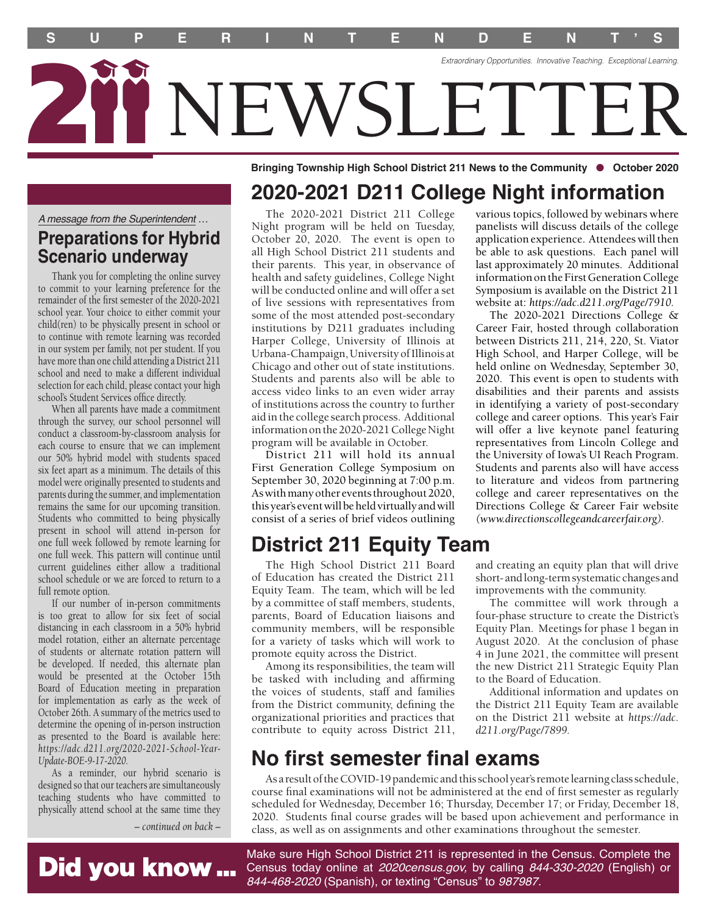**S U P E R I N T E N D E N T S '** *Extraordinary Opportunities. Innovative Teaching. Exceptional Learning.*  IEWSLETTE

Bringing Township High School District 211 News to the Community **·** October 2020

### **2020-2021 D211 College Night information**  various topics, followed by webinars where

*A message from the Superintendent …* 

## **Preparations for Hybrid Scenario underway**

Thank you for completing the online survey to commit to your learning preference for the remainder of the frst semester of the 2020-2021 school year. Your choice to either commit your child(ren) to be physically present in school or to continue with remote learning was recorded in our system per family, not per student. If you have more than one child attending a District 211 school and need to make a different individual selection for each child, please contact your high school's Student Services office directly.

When all parents have made a commitment through the survey, our school personnel will conduct a classroom-by-classroom analysis for each course to ensure that we can implement our 50% hybrid model with students spaced six feet apart as a minimum. The details of this model were originally presented to students and parents during the summer, and implementation remains the same for our upcoming transition. Students who committed to being physically present in school will attend in-person for one full week followed by remote learning for one full week. This pattern will continue until current guidelines either allow a traditional school schedule or we are forced to return to a full remote option.

If our number of in-person commitments is too great to allow for six feet of social distancing in each classroom in a 50% hybrid model rotation, either an alternate percentage of students or alternate rotation pattern will be developed. If needed, this alternate plan would be presented at the October 15th Board of Education meeting in preparation for implementation as early as the week of October 26th. A summary of the metrics used to determine the opening of in-person instruction as presented to the Board is available here: *[https://adc.d211.org/2020-2021-School-Year-](https://adc.d211.org/2020-2021-School-Year)Update-BOE-9-17-2020.* 

As a reminder, our hybrid scenario is designed so that our teachers are simultaneously teaching students who have committed to physically attend school at the same time they

Did you know ...

*– continued on back –*

The 2020-2021 District 211 College Night program will be held on Tuesday, October 20, 2020. The event is open to all High School District 211 students and their parents. This year, in observance of health and safety guidelines, College Night will be conducted online and will offer a set of live sessions with representatives from some of the most attended post-secondary institutions by D211 graduates including Harper College, University of Illinois at Urbana-Champaign, University of Illinois at Chicago and other out of state institutions. Students and parents also will be able to access video links to an even wider array of institutions across the country to further aid in the college search process. Additional information on the 2020-2021 College Night program will be available in October.

District 211 will hold its annual First Generation College Symposium on September 30, 2020 beginning at 7:00 p.m. As with many other events throughout 2020, this year's event will be held virtually and will consist of a series of brief videos outlining

# **District 211 Equity Team**

The High School District 211 Board of Education has created the District 211 Equity Team. The team, which will be led by a committee of staff members, students, parents, Board of Education liaisons and community members, will be responsible for a variety of tasks which will work to promote equity across the District.

Among its responsibilities, the team will be tasked with including and affrming the voices of students, staff and families from the District community, defning the organizational priorities and practices that contribute to equity across District 211,

## **No first semester final exams**

As a result of the COVID-19 pandemic and this school year's remote learning class schedule, course fnal examinations will not be administered at the end of frst semester as regularly scheduled for Wednesday, December 16; Thursday, December 17; or Friday, December 18, 2020. Students fnal course grades will be based upon achievement and performance in class, as well as on assignments and other examinations throughout the semester.

Make sure High School District 211 is represented in the Census. Complete the Census today online at *[2020census.gov,](https://2020census.gov)* by calling *844-330-2020* (English) or *844-468-2020* (Spanish), or texting "Census" to *987987.*

disabilities and their parents and assists in identifying a variety of post-secondary college and career options. This year's Fair will offer a live keynote panel featuring representatives from Lincoln College and

panelists will discuss details of the college application experience. Attendees will then be able to ask questions. Each panel will last approximately 20 minutes. Additional information on the First Generation College Symposium is available on the District 211 website at: *<https://adc.d211.org/Page/7910>.*  The 2020-2021 Directions College & Career Fair, hosted through collaboration between Districts 211, 214, 220, St. Viator High School, and Harper College, will be held online on Wednesday, September 30, 2020. This event is open to students with

the University of Iowa's UI Reach Program. Students and parents also will have access to literature and videos from partnering college and career representatives on the Directions College & Career Fair website *(<www.directionscollegeandcareerfair.org>).* 

and creating an equity plan that will drive short- and long-term systematic changes and improvements with the community.

The committee will work through a four-phase structure to create the District's Equity Plan. Meetings for phase 1 began in August 2020. At the conclusion of phase 4 in June 2021, the committee will present the new District 211 Strategic Equity Plan to the Board of Education.

Additional information and updates on the District 211 Equity Team are available on the District 211 website at *<https://adc>. [d211.org/Page/7899](https://d211.org/Page/7899).*